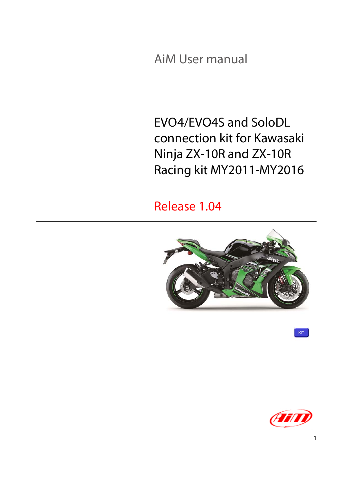AiM User manual

EVO4/EVO4S and SoloDL connection kit for Kawasaki Ninja ZX-10R and ZX-10R Racing kit MY2011-MY2016

Release 1.04



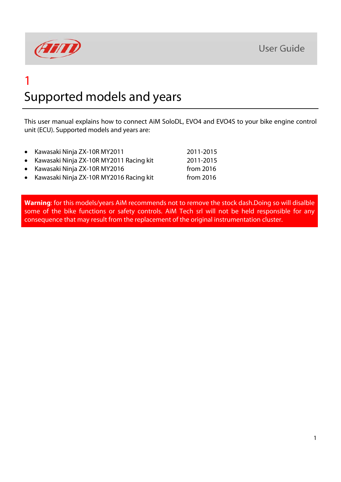

## 1 Supported models and years

This user manual explains how to connect AiM SoloDL, EVO4 and EVO4S to your bike engine control unit (ECU). Supported models and years are:

|  | Kawasaki Ninja ZX-10R MY2011 | 2011-2015 |
|--|------------------------------|-----------|
|--|------------------------------|-----------|

- Kawasaki Ninja ZX-10R MY2011 Racing kit 2011-2015
- Kawasaki Ninja ZX-10R MY2016 from 2016
- Kawasaki Ninja ZX-10R MY2016 Racing kit from 2016

**Warning**: for this models/years AiM recommends not to remove the stock dash.Doing so will disalble some of the bike functions or safety controls. AiM Tech srl will not be held responsible for any consequence that may result from the replacement of the original instrumentation cluster.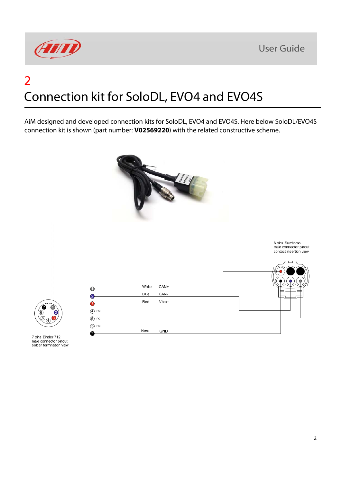

## 2 Connection kit for SoloDL, EVO4 and EVO4S

AiM designed and developed connection kits for SoloDL, EVO4 and EVO4S. Here below SoloDL/EVO4S connection kit is shown (part number: **V02569220**) with the related constructive scheme.



7 pins Binder 712 male connector pinout solder termination view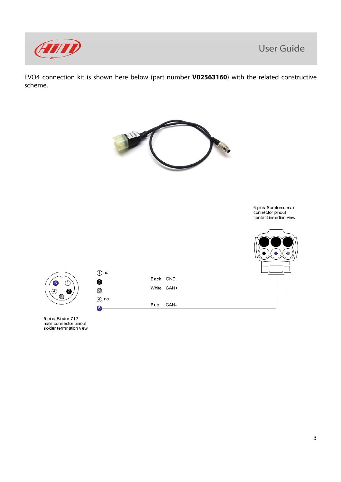

EVO4 connection kit is shown here below (part number **V02563160**) with the related constructive scheme.



5 pins Binder 712<br>male connector pinout solder termination view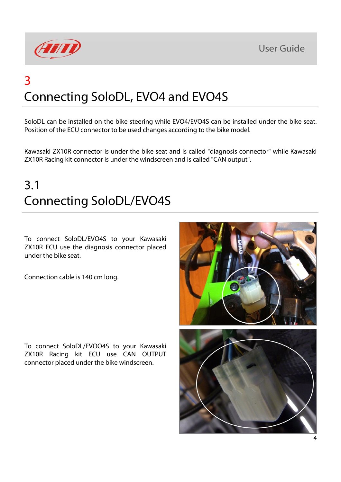



## 3 Connecting SoloDL, EVO4 and EVO4S

SoloDL can be installed on the bike steering while EVO4/EVO4S can be installed under the bike seat. Position of the ECU connector to be used changes according to the bike model.

Kawasaki ZX10R connector is under the bike seat and is called "diagnosis connector" while Kawasaki ZX10R Racing kit connector is under the windscreen and is called "CAN output".

#### 3.1 Connecting SoloDL/EVO4S

To connect SoloDL/EVO4S to your Kawasaki ZX10R ECU use the diagnosis connector placed under the bike seat.

Connection cable is 140 cm long.

To connect SoloDL/EVOO4S to your Kawasaki ZX10R Racing kit ECU use CAN OUTPUT connector placed under the bike windscreen.

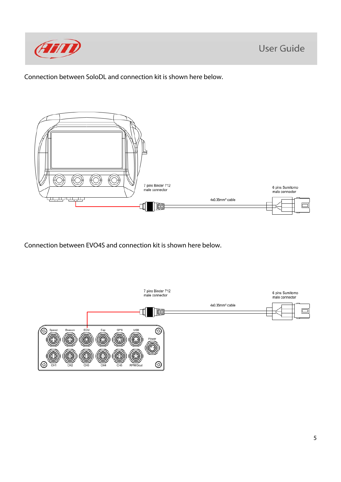

Connection between SoloDL and connection kit is shown here below.



Connection between EVO4S and connection kit is shown here below.

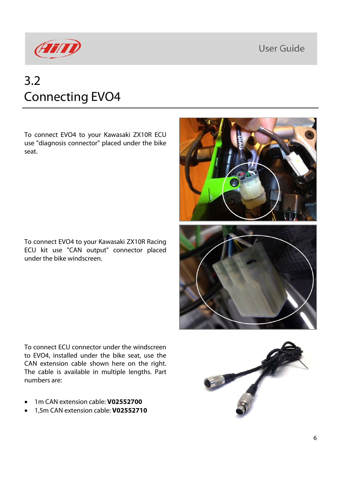**User Guide** 



#### 3.2 Connecting EVO4

To connect EVO4 to your Kawasaki ZX10R ECU use "diagnosis connector" placed under the bike seat.

To connect EVO4 to your Kawasaki ZX10R Racing ECU kit use "CAN output" connector placed under the bike windscreen.

To connect ECU connector under the windscreen to EVO4, installed under the bike seat, use the CAN extension cable shown here on the right. The cable is available in multiple lengths. Part numbers are:

- 1m CAN extension cable: **V02552700**
- 1,5m CAN extension cable: **V02552710**



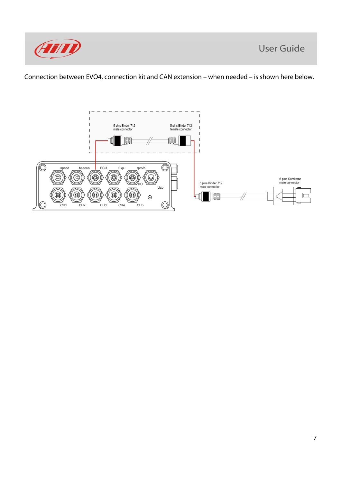

Connection between EVO4, connection kit and CAN extension – when needed – is shown here below.

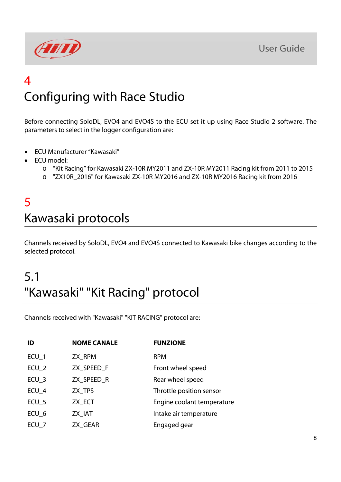**User Guide** 



## $\boldsymbol{\varLambda}$ Configuring with Race Studio

Before connecting SoloDL, EVO4 and EVO4S to the ECU set it up using Race Studio 2 software. The parameters to select in the logger configuration are:

- ECU Manufacturer "Kawasaki"
- ECU model:
	- o "Kit Racing" for Kawasaki ZX-10R MY2011 and ZX-10R MY2011 Racing kit from 2011 to 2015
	- o "ZX10R\_2016" for Kawasaki ZX-10R MY2016 and ZX-10R MY2016 Racing kit from 2016

#### 5 Kawasaki protocols

Channels received by SoloDL, EVO4 and EVO4S connected to Kawasaki bike changes according to the selected protocol.

### 5.1 "Kawasaki" "Kit Racing" protocol

Channels received with "Kawasaki" "KIT RACING" protocol are:

| ID               | <b>NOME CANALE</b> | <b>FUNZIONE</b>            |
|------------------|--------------------|----------------------------|
| $ECU_1$          | ZX RPM             | <b>RPM</b>                 |
| $ECU_2$          | ZX SPEED F         | Front wheel speed          |
| $ECU_3$          | ZX SPEED R         | Rear wheel speed           |
| $ECU_4$          | ZX TPS             | Throttle position sensor   |
| ECU <sub>5</sub> | ZX_ECT             | Engine coolant temperature |
| ECU <sub>6</sub> | ZX IAT             | Intake air temperature     |
| ECU <sub>7</sub> | ZX GEAR            | Engaged gear               |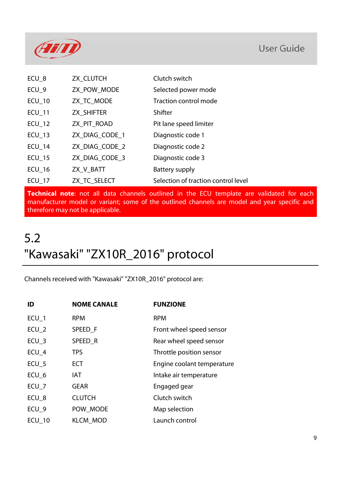

| ECU_8         | ZX_CLUTCH      | Clutch switch                       |
|---------------|----------------|-------------------------------------|
| $ECU_9$       | ZX_POW_MODE    | Selected power mode                 |
| $ECU_1$ 10    | ZX_TC_MODE     | Traction control mode               |
| <b>ECU_11</b> | ZX_SHIFTER     | Shifter                             |
| $ECU_12$      | ZX_PIT_ROAD    | Pit lane speed limiter              |
| $ECU_13$      | ZX_DIAG_CODE_1 | Diagnostic code 1                   |
| $ECU_14$      | ZX_DIAG_CODE_2 | Diagnostic code 2                   |
| $ECU_15$      | ZX_DIAG_CODE_3 | Diagnostic code 3                   |
| $ECU_16$      | ZX_V_BATT      | Battery supply                      |
| <b>ECU 17</b> | ZX_TC_SELECT   | Selection of traction control level |

**Technical note**: not all data channels outlined in the ECU template are validated for each manufacturer model or variant; some of the outlined channels are model and year specific and therefore may not be applicable.

# 5.2 "Kawasaki" "ZX10R\_2016" protocol

Channels received with "Kawasaki" "ZX10R\_2016" protocol are:

| ID               | <b>NOME CANALE</b> | <b>FUNZIONE</b>            |
|------------------|--------------------|----------------------------|
| ECU <sub>1</sub> | <b>RPM</b>         | <b>RPM</b>                 |
| $ECU_2$          | SPEED F            | Front wheel speed sensor   |
| ECU <sub>3</sub> | SPEED R            | Rear wheel speed sensor    |
| ECU 4            | <b>TPS</b>         | Throttle position sensor   |
| $ECU_5$          | <b>ECT</b>         | Engine coolant temperature |
| ECU_6            | <b>IAT</b>         | Intake air temperature     |
| $ECU_7$          | <b>GEAR</b>        | Engaged gear               |
| ECU_8            | <b>CLUTCH</b>      | Clutch switch              |
| ECU <sub>9</sub> | POW_MODE           | Map selection              |
| <b>ECU_10</b>    | <b>KLCM MOD</b>    | Launch control             |